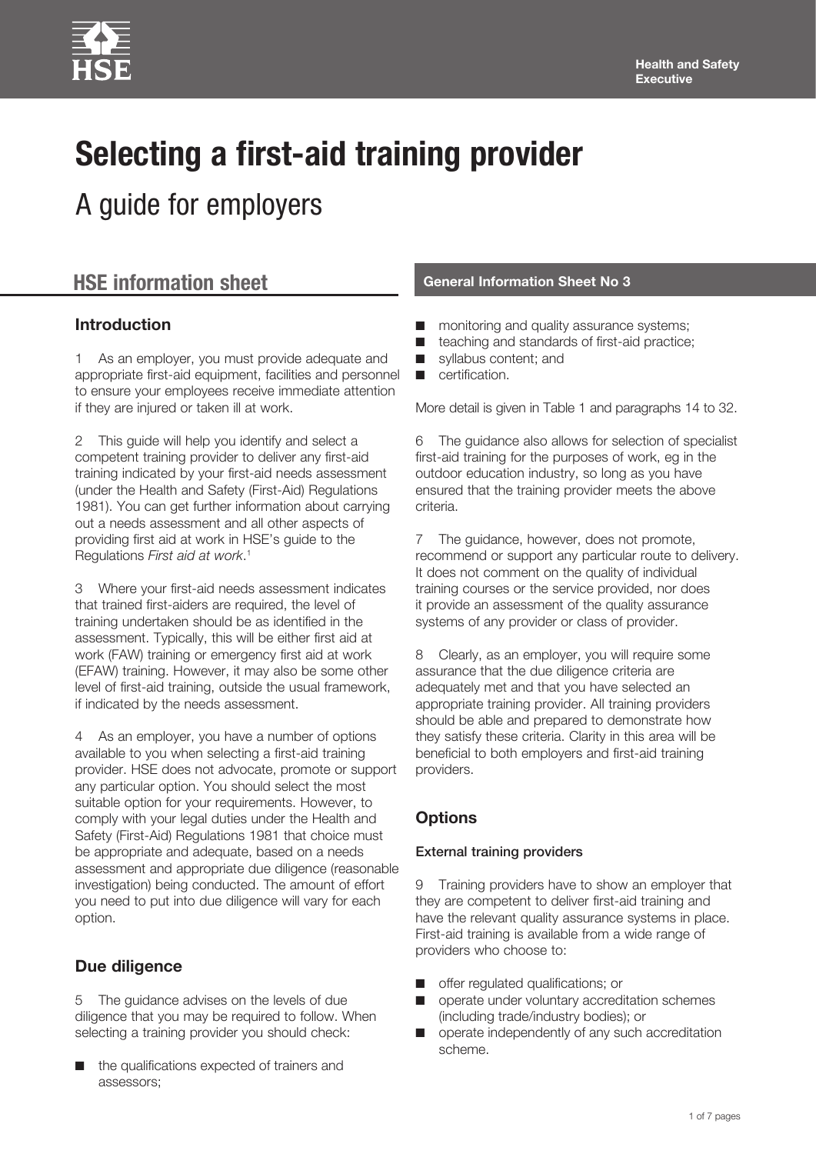# **Selecting a first-aid training provider**

A guide for employers

## **HSE information sheet General Information Sheet No 3**

#### **Introduction**

1 As an employer, you must provide adequate and appropriate first-aid equipment, facilities and personnel to ensure your employees receive immediate attention if they are injured or taken ill at work.

2 This guide will help you identify and select a competent training provider to deliver any first-aid training indicated by your first-aid needs assessment (under the Health and Safety (First-Aid) Regulations 1981). You can get further information about carrying out a needs assessment and all other aspects of providing first aid at work in HSE's guide to the Regulations *First aid at work*. 1

3 Where your first-aid needs assessment indicates that trained first-aiders are required, the level of training undertaken should be as identified in the assessment. Typically, this will be either first aid at work (FAW) training or emergency first aid at work (EFAW) training. However, it may also be some other level of first-aid training, outside the usual framework, if indicated by the needs assessment.

4 As an employer, you have a number of options available to you when selecting a first-aid training provider. HSE does not advocate, promote or support any particular option. You should select the most suitable option for your requirements. However, to comply with your legal duties under the Health and Safety (First-Aid) Regulations 1981 that choice must be appropriate and adequate, based on a needs assessment and appropriate due diligence (reasonable investigation) being conducted. The amount of effort you need to put into due diligence will vary for each option.

#### **Due diligence**

5 The guidance advises on the levels of due diligence that you may be required to follow. When selecting a training provider you should check:

the qualifications expected of trainers and assessors;

- monitoring and quality assurance systems;
- teaching and standards of first-aid practice;
- syllabus content; and
- certification.

More detail is given in Table 1 and paragraphs 14 to 32.

6 The guidance also allows for selection of specialist first-aid training for the purposes of work, eg in the outdoor education industry, so long as you have ensured that the training provider meets the above criteria.

7 The guidance, however, does not promote, recommend or support any particular route to delivery. It does not comment on the quality of individual training courses or the service provided, nor does it provide an assessment of the quality assurance systems of any provider or class of provider.

8 Clearly, as an employer, you will require some assurance that the due diligence criteria are adequately met and that you have selected an appropriate training provider. All training providers should be able and prepared to demonstrate how they satisfy these criteria. Clarity in this area will be beneficial to both employers and first-aid training providers.

#### **Options**

#### External training providers

9 Training providers have to show an employer that they are competent to deliver first-aid training and have the relevant quality assurance systems in place. First-aid training is available from a wide range of providers who choose to:

- offer regulated qualifications; or
- operate under voluntary accreditation schemes (including trade/industry bodies); or
- operate independently of any such accreditation scheme.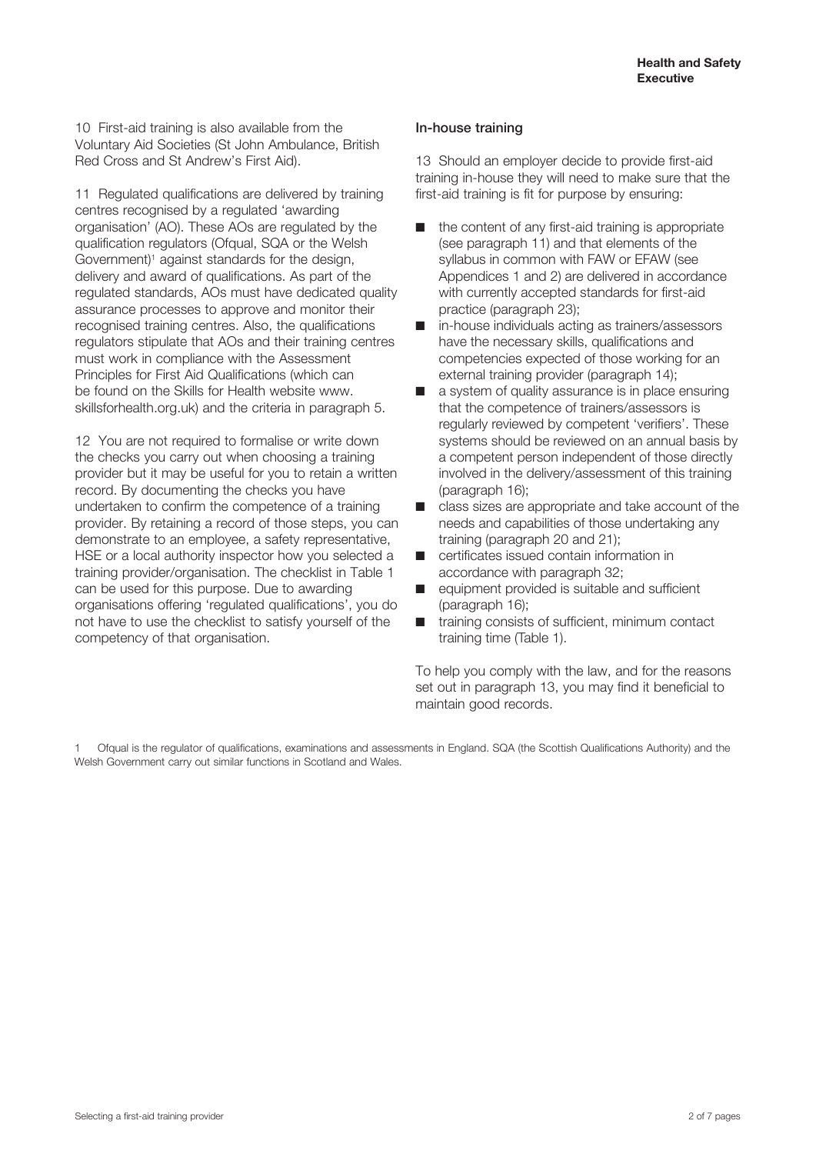10 First-aid training is also available from the Voluntary Aid Societies (St John Ambulance, British Red Cross and St Andrew's First Aid).

11 Regulated qualifications are delivered by training centres recognised by a regulated 'awarding organisation' (AO). These AOs are regulated by the qualification regulators (Ofqual, SQA or the Welsh Government)<sup>1</sup> against standards for the design, delivery and award of qualifications. As part of the regulated standards, AOs must have dedicated quality assurance processes to approve and monitor their recognised training centres. Also, the qualifications regulators stipulate that AOs and their training centres must work in compliance with the Assessment Principles for First Aid Qualifications (which can be found on the Skills for Health website [www.](http://www.skillsforhealth.org.uk) [skillsforhealth.org.uk](http://www.skillsforhealth.org.uk)) and the criteria in paragraph 5.

12 You are not required to formalise or write down the checks you carry out when choosing a training provider but it may be useful for you to retain a written record. By documenting the checks you have undertaken to confirm the competence of a training provider. By retaining a record of those steps, you can demonstrate to an employee, a safety representative, HSE or a local authority inspector how you selected a training provider/organisation. The checklist in Table 1 can be used for this purpose. Due to awarding organisations offering 'regulated qualifications', you do not have to use the checklist to satisfy yourself of the competency of that organisation.

#### In-house training

13 Should an employer decide to provide first-aid training in-house they will need to make sure that the first-aid training is fit for purpose by ensuring:

- the content of any first-aid training is appropriate (see paragraph 11) and that elements of the syllabus in common with FAW or EFAW (see Appendices 1 and 2) are delivered in accordance with currently accepted standards for first-aid practice (paragraph 23);
- in-house individuals acting as trainers/assessors have the necessary skills, qualifications and competencies expected of those working for an external training provider (paragraph 14);
- a system of quality assurance is in place ensuring that the competence of trainers/assessors is regularly reviewed by competent 'verifiers'. These systems should be reviewed on an annual basis by a competent person independent of those directly involved in the delivery/assessment of this training (paragraph 16);
- class sizes are appropriate and take account of the needs and capabilities of those undertaking any training (paragraph 20 and 21);
- certificates issued contain information in accordance with paragraph 32;
- equipment provided is suitable and sufficient (paragraph 16);
- training consists of sufficient, minimum contact training time (Table 1).

To help you comply with the law, and for the reasons set out in paragraph 13, you may find it beneficial to maintain good records.

1 Ofqual is the regulator of qualifications, examinations and assessments in England. SQA (the Scottish Qualifications Authority) and the Welsh Government carry out similar functions in Scotland and Wales.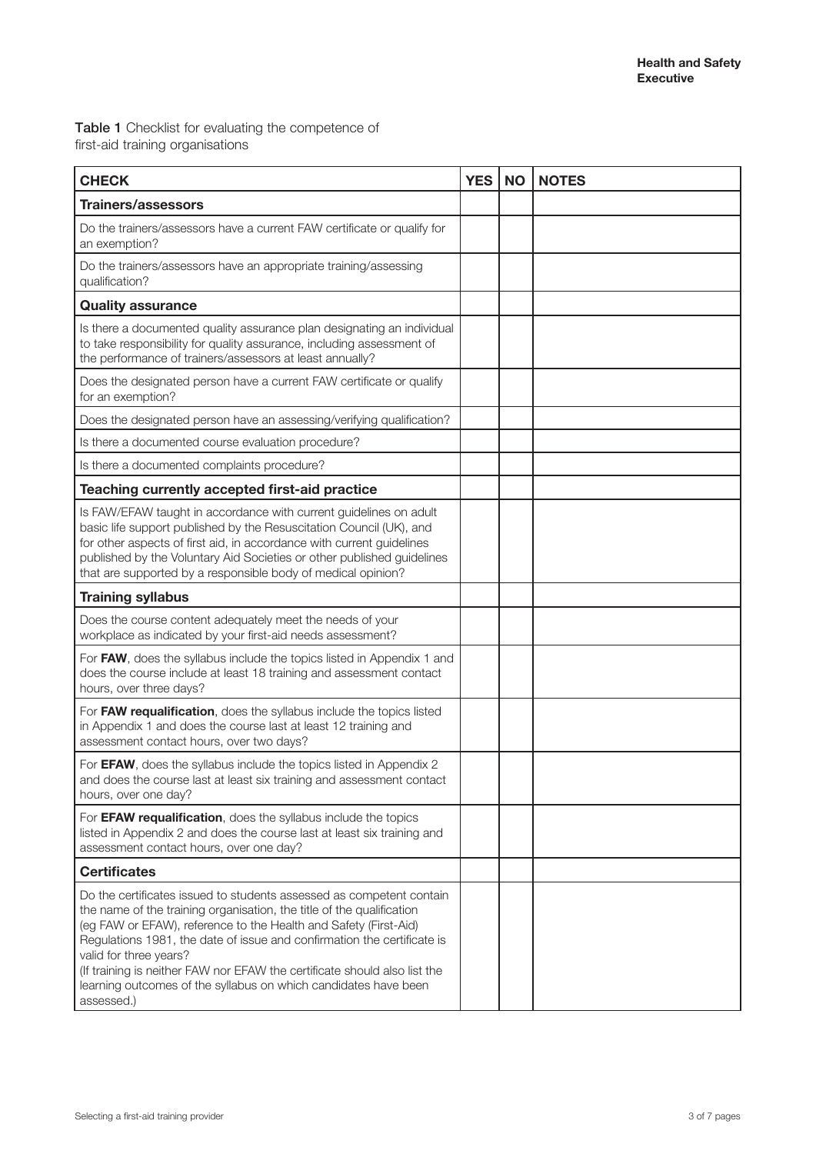Table 1 Checklist for evaluating the competence of first-aid training organisations

| <b>CHECK</b>                                                                                                                                                                                                                                                                                                                                                                                                                                                                         | <b>YES</b> | <b>NO</b> | <b>NOTES</b> |
|--------------------------------------------------------------------------------------------------------------------------------------------------------------------------------------------------------------------------------------------------------------------------------------------------------------------------------------------------------------------------------------------------------------------------------------------------------------------------------------|------------|-----------|--------------|
| <b>Trainers/assessors</b>                                                                                                                                                                                                                                                                                                                                                                                                                                                            |            |           |              |
| Do the trainers/assessors have a current FAW certificate or qualify for<br>an exemption?                                                                                                                                                                                                                                                                                                                                                                                             |            |           |              |
| Do the trainers/assessors have an appropriate training/assessing<br>qualification?                                                                                                                                                                                                                                                                                                                                                                                                   |            |           |              |
| <b>Quality assurance</b>                                                                                                                                                                                                                                                                                                                                                                                                                                                             |            |           |              |
| Is there a documented quality assurance plan designating an individual<br>to take responsibility for quality assurance, including assessment of<br>the performance of trainers/assessors at least annually?                                                                                                                                                                                                                                                                          |            |           |              |
| Does the designated person have a current FAW certificate or qualify<br>for an exemption?                                                                                                                                                                                                                                                                                                                                                                                            |            |           |              |
| Does the designated person have an assessing/verifying qualification?                                                                                                                                                                                                                                                                                                                                                                                                                |            |           |              |
| Is there a documented course evaluation procedure?                                                                                                                                                                                                                                                                                                                                                                                                                                   |            |           |              |
| Is there a documented complaints procedure?                                                                                                                                                                                                                                                                                                                                                                                                                                          |            |           |              |
| Teaching currently accepted first-aid practice                                                                                                                                                                                                                                                                                                                                                                                                                                       |            |           |              |
| Is FAW/EFAW taught in accordance with current guidelines on adult<br>basic life support published by the Resuscitation Council (UK), and<br>for other aspects of first aid, in accordance with current guidelines<br>published by the Voluntary Aid Societies or other published guidelines<br>that are supported by a responsible body of medical opinion?                                                                                                                          |            |           |              |
| <b>Training syllabus</b>                                                                                                                                                                                                                                                                                                                                                                                                                                                             |            |           |              |
| Does the course content adequately meet the needs of your<br>workplace as indicated by your first-aid needs assessment?                                                                                                                                                                                                                                                                                                                                                              |            |           |              |
| For FAW, does the syllabus include the topics listed in Appendix 1 and<br>does the course include at least 18 training and assessment contact<br>hours, over three days?                                                                                                                                                                                                                                                                                                             |            |           |              |
| For FAW requalification, does the syllabus include the topics listed<br>in Appendix 1 and does the course last at least 12 training and<br>assessment contact hours, over two days?                                                                                                                                                                                                                                                                                                  |            |           |              |
| For EFAW, does the syllabus include the topics listed in Appendix 2<br>and does the course last at least six training and assessment contact<br>hours, over one day?                                                                                                                                                                                                                                                                                                                 |            |           |              |
| For EFAW requalification, does the syllabus include the topics<br>listed in Appendix 2 and does the course last at least six training and<br>assessment contact hours, over one day?                                                                                                                                                                                                                                                                                                 |            |           |              |
| <b>Certificates</b>                                                                                                                                                                                                                                                                                                                                                                                                                                                                  |            |           |              |
| Do the certificates issued to students assessed as competent contain<br>the name of the training organisation, the title of the qualification<br>(eg FAW or EFAW), reference to the Health and Safety (First-Aid)<br>Regulations 1981, the date of issue and confirmation the certificate is<br>valid for three years?<br>(If training is neither FAW nor EFAW the certificate should also list the<br>learning outcomes of the syllabus on which candidates have been<br>assessed.) |            |           |              |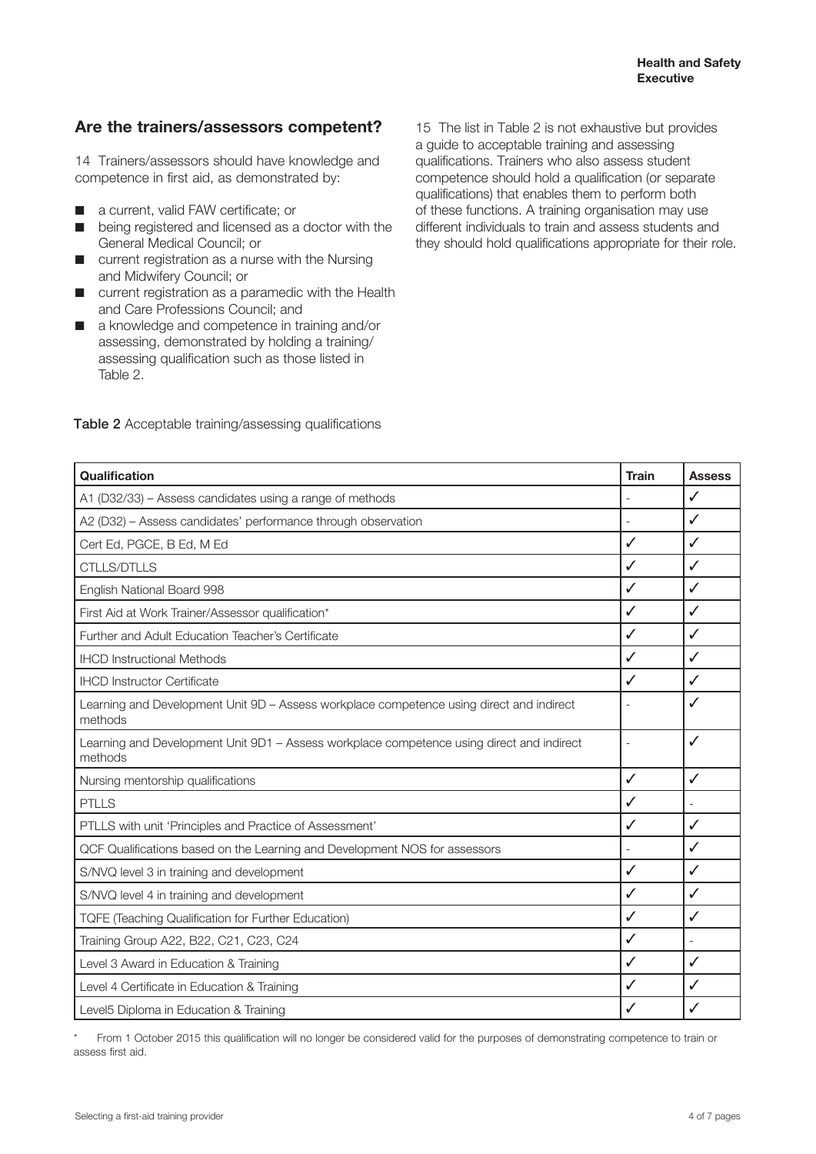#### **Are the trainers/assessors competent?**

14 Trainers/assessors should have knowledge and competence in first aid, as demonstrated by:

- a current, valid FAW certificate; or
- being registered and licensed as a doctor with the General Medical Council; or
- current registration as a nurse with the Nursing and Midwifery Council; or
- current registration as a paramedic with the Health and Care Professions Council; and
- a knowledge and competence in training and/or assessing, demonstrated by holding a training/ assessing qualification such as those listed in Table 2.

15 The list in Table 2 is not exhaustive but provides a guide to acceptable training and assessing qualifications. Trainers who also assess student competence should hold a qualification (or separate qualifications) that enables them to perform both of these functions. A training organisation may use different individuals to train and assess students and they should hold qualifications appropriate for their role.

| Qualification                                                                                        | <b>Train</b> | <b>Assess</b> |
|------------------------------------------------------------------------------------------------------|--------------|---------------|
| A1 (D32/33) - Assess candidates using a range of methods                                             |              | $\checkmark$  |
| A2 (D32) - Assess candidates' performance through observation                                        | ۰            | $\checkmark$  |
| Cert Ed, PGCE, B Ed, M Ed                                                                            | ✓            | $\checkmark$  |
| <b>CTLLS/DTLLS</b>                                                                                   | $\checkmark$ | $\checkmark$  |
| English National Board 998                                                                           | ✓            | $\checkmark$  |
| First Aid at Work Trainer/Assessor qualification*                                                    | ✓            | $\checkmark$  |
| Further and Adult Education Teacher's Certificate                                                    |              | $\checkmark$  |
| <b>IHCD Instructional Methods</b>                                                                    |              | $\checkmark$  |
| <b>IHCD Instructor Certificate</b>                                                                   |              | $\checkmark$  |
| Learning and Development Unit 9D - Assess workplace competence using direct and indirect<br>methods  |              | ✓             |
| Learning and Development Unit 9D1 - Assess workplace competence using direct and indirect<br>methods |              | $\checkmark$  |
| Nursing mentorship qualifications                                                                    | $\checkmark$ | $\checkmark$  |
| <b>PTLLS</b>                                                                                         |              |               |
| PTLLS with unit 'Principles and Practice of Assessment'                                              |              | $\checkmark$  |
| QCF Qualifications based on the Learning and Development NOS for assessors                           |              | $\checkmark$  |
| S/NVQ level 3 in training and development                                                            |              | $\checkmark$  |
| S/NVQ level 4 in training and development                                                            | ✓            | $\checkmark$  |
| <b>TQFE (Teaching Qualification for Further Education)</b>                                           | ✓            | $\checkmark$  |
| Training Group A22, B22, C21, C23, C24                                                               | ✓            |               |
| Level 3 Award in Education & Training                                                                | ✓            | $\checkmark$  |
| Level 4 Certificate in Education & Training                                                          | ✓            | $\checkmark$  |
| Level5 Diploma in Education & Training                                                               | ✓            | ✓             |

#### Table 2 Acceptable training/assessing qualifications

From 1 October 2015 this qualification will no longer be considered valid for the purposes of demonstrating competence to train or assess first aid.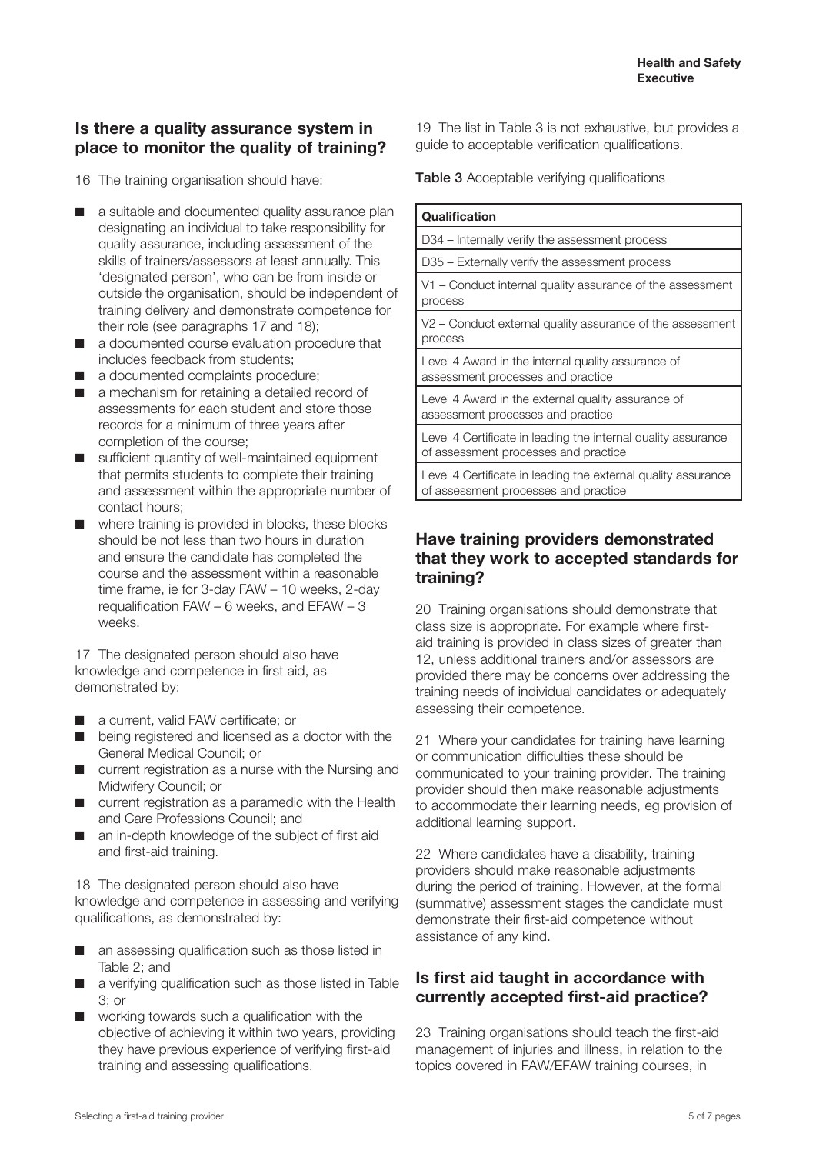#### **Is there a quality assurance system in place to monitor the quality of training?**

16 The training organisation should have:

- a suitable and documented quality assurance plan designating an individual to take responsibility for quality assurance, including assessment of the skills of trainers/assessors at least annually. This 'designated person', who can be from inside or outside the organisation, should be independent of training delivery and demonstrate competence for their role (see paragraphs 17 and 18);
- a documented course evaluation procedure that includes feedback from students;
- a documented complaints procedure;
- a mechanism for retaining a detailed record of assessments for each student and store those records for a minimum of three years after completion of the course;
- sufficient quantity of well-maintained equipment that permits students to complete their training and assessment within the appropriate number of contact hours;
- where training is provided in blocks, these blocks should be not less than two hours in duration and ensure the candidate has completed the course and the assessment within a reasonable time frame, ie for 3-day FAW – 10 weeks, 2-day requalification FAW – 6 weeks, and EFAW – 3 weeks.

17 The designated person should also have knowledge and competence in first aid, as demonstrated by:

- a current, valid FAW certificate; or
- being registered and licensed as a doctor with the General Medical Council; or
- current registration as a nurse with the Nursing and Midwifery Council; or
- current registration as a paramedic with the Health and Care Professions Council; and
- an in-depth knowledge of the subject of first aid and first-aid training.

18 The designated person should also have knowledge and competence in assessing and verifying qualifications, as demonstrated by:

- an assessing qualification such as those listed in Table 2; and
- a verifying qualification such as those listed in Table 3; or
- working towards such a qualification with the objective of achieving it within two years, providing they have previous experience of verifying first-aid training and assessing qualifications.

19 The list in Table 3 is not exhaustive, but provides a guide to acceptable verification qualifications.

Table 3 Acceptable verifying qualifications

| Qualification                                                                                         |
|-------------------------------------------------------------------------------------------------------|
| D34 – Internally verify the assessment process                                                        |
| D35 - Externally verify the assessment process                                                        |
| V1 – Conduct internal quality assurance of the assessment<br>process                                  |
| V2 – Conduct external quality assurance of the assessment<br>process                                  |
| Level 4 Award in the internal quality assurance of<br>assessment processes and practice               |
| Level 4 Award in the external quality assurance of<br>assessment processes and practice               |
| Level 4 Certificate in leading the internal quality assurance<br>of assessment processes and practice |
| Level 4 Certificate in leading the external quality assurance<br>of assessment processes and practice |

#### **Have training providers demonstrated that they work to accepted standards for training?**

20 Training organisations should demonstrate that class size is appropriate. For example where firstaid training is provided in class sizes of greater than 12, unless additional trainers and/or assessors are provided there may be concerns over addressing the training needs of individual candidates or adequately assessing their competence.

21 Where your candidates for training have learning or communication difficulties these should be communicated to your training provider. The training provider should then make reasonable adjustments to accommodate their learning needs, eg provision of additional learning support.

22 Where candidates have a disability, training providers should make reasonable adjustments during the period of training. However, at the formal (summative) assessment stages the candidate must demonstrate their first-aid competence without assistance of any kind.

#### **Is first aid taught in accordance with currently accepted first-aid practice?**

23 Training organisations should teach the first-aid management of injuries and illness, in relation to the topics covered in FAW/EFAW training courses, in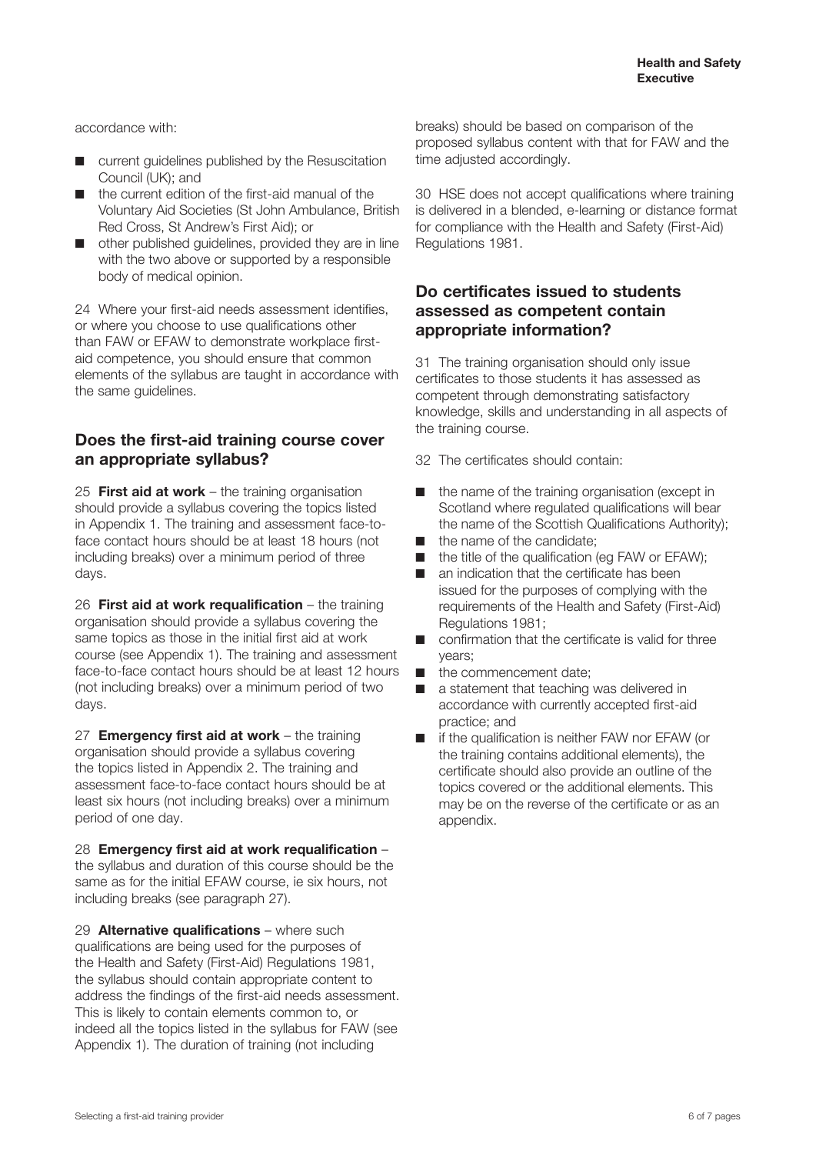accordance with:

- current quidelines published by the Resuscitation Council (UK); and
- the current edition of the first-aid manual of the Voluntary Aid Societies (St John Ambulance, British Red Cross, St Andrew's First Aid); or
- other published quidelines, provided they are in line with the two above or supported by a responsible body of medical opinion.

24 Where your first-aid needs assessment identifies, or where you choose to use qualifications other than FAW or EFAW to demonstrate workplace firstaid competence, you should ensure that common elements of the syllabus are taught in accordance with the same guidelines.

#### **Does the first-aid training course cover an appropriate syllabus?**

25 **First aid at work** – the training organisation should provide a syllabus covering the topics listed in Appendix 1. The training and assessment face-toface contact hours should be at least 18 hours (not including breaks) over a minimum period of three days.

26 **First aid at work requalification** – the training organisation should provide a syllabus covering the same topics as those in the initial first aid at work course (see Appendix 1). The training and assessment face-to-face contact hours should be at least 12 hours (not including breaks) over a minimum period of two days.

27 **Emergency first aid at work** – the training organisation should provide a syllabus covering the topics listed in Appendix 2. The training and assessment face-to-face contact hours should be at least six hours (not including breaks) over a minimum period of one day.

28 **Emergency first aid at work requalification** – the syllabus and duration of this course should be the same as for the initial EFAW course, ie six hours, not including breaks (see paragraph 27).

29 **Alternative qualifications** – where such qualifications are being used for the purposes of the Health and Safety (First-Aid) Regulations 1981, the syllabus should contain appropriate content to address the findings of the first-aid needs assessment. This is likely to contain elements common to, or indeed all the topics listed in the syllabus for FAW (see Appendix 1). The duration of training (not including

breaks) should be based on comparison of the proposed syllabus content with that for FAW and the time adjusted accordingly.

30 HSE does not accept qualifications where training is delivered in a blended, e-learning or distance format for compliance with the Health and Safety (First-Aid) Regulations 1981.

#### **Do certificates issued to students assessed as competent contain appropriate information?**

31 The training organisation should only issue certificates to those students it has assessed as competent through demonstrating satisfactory knowledge, skills and understanding in all aspects of the training course.

32 The certificates should contain:

- the name of the training organisation (except in Scotland where regulated qualifications will bear the name of the Scottish Qualifications Authority);
- the name of the candidate;
- the title of the qualification (eq FAW or EFAW);
- an indication that the certificate has been issued for the purposes of complying with the requirements of the Health and Safety (First-Aid) Regulations 1981;
- confirmation that the certificate is valid for three years;
- the commencement date:
- a statement that teaching was delivered in accordance with currently accepted first-aid practice; and
- if the qualification is neither FAW nor EFAW (or the training contains additional elements), the certificate should also provide an outline of the topics covered or the additional elements. This may be on the reverse of the certificate or as an appendix.